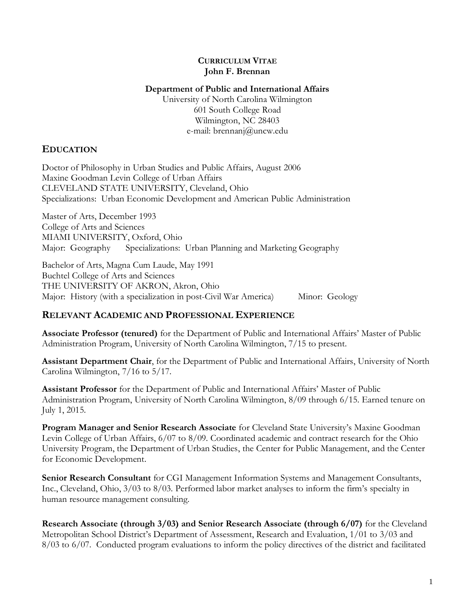#### **CURRICULUM VITAE John F. Brennan**

#### **Department of Public and International Affairs**

University of North Carolina Wilmington 601 South College Road Wilmington, NC 28403 e-mail: brennanj@uncw.edu

## **EDUCATION**

Doctor of Philosophy in Urban Studies and Public Affairs, August 2006 Maxine Goodman Levin College of Urban Affairs CLEVELAND STATE UNIVERSITY, Cleveland, Ohio Specializations: Urban Economic Development and American Public Administration

Master of Arts, December 1993 College of Arts and Sciences MIAMI UNIVERSITY, Oxford, Ohio Major: Geography Specializations: Urban Planning and Marketing Geography

Bachelor of Arts, Magna Cum Laude, May 1991 Buchtel College of Arts and Sciences THE UNIVERSITY OF AKRON, Akron, Ohio Major: History (with a specialization in post-Civil War America) Minor: Geology

## **RELEVANT ACADEMIC AND PROFESSIONAL EXPERIENCE**

**Associate Professor (tenured)** for the Department of Public and International Affairs' Master of Public Administration Program, University of North Carolina Wilmington, 7/15 to present.

**Assistant Department Chair**, for the Department of Public and International Affairs, University of North Carolina Wilmington, 7/16 to 5/17.

**Assistant Professor** for the Department of Public and International Affairs' Master of Public Administration Program, University of North Carolina Wilmington, 8/09 through 6/15. Earned tenure on July 1, 2015.

**Program Manager and Senior Research Associate** for Cleveland State University's Maxine Goodman Levin College of Urban Affairs, 6/07 to 8/09. Coordinated academic and contract research for the Ohio University Program, the Department of Urban Studies, the Center for Public Management, and the Center for Economic Development.

**Senior Research Consultant** for CGI Management Information Systems and Management Consultants, Inc., Cleveland, Ohio, 3/03 to 8/03. Performed labor market analyses to inform the firm's specialty in human resource management consulting.

**Research Associate (through 3/03) and Senior Research Associate (through 6/07)** for the Cleveland Metropolitan School District's Department of Assessment, Research and Evaluation, 1/01 to 3/03 and 8/03 to 6/07. Conducted program evaluations to inform the policy directives of the district and facilitated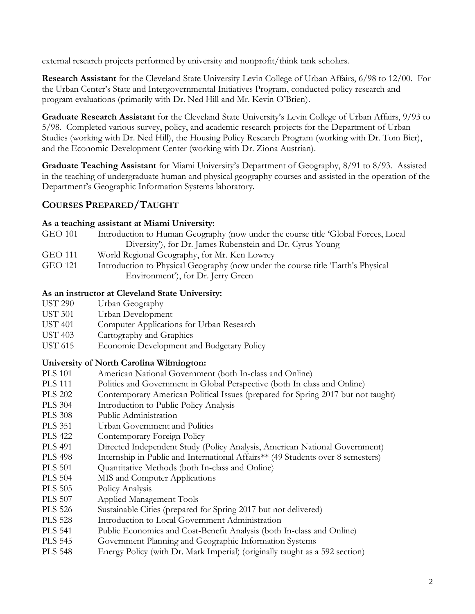external research projects performed by university and nonprofit/think tank scholars.

**Research Assistant** for the Cleveland State University Levin College of Urban Affairs, 6/98 to 12/00. For the Urban Center's State and Intergovernmental Initiatives Program, conducted policy research and program evaluations (primarily with Dr. Ned Hill and Mr. Kevin O'Brien).

**Graduate Research Assistant** for the Cleveland State University's Levin College of Urban Affairs, 9/93 to 5/98. Completed various survey, policy, and academic research projects for the Department of Urban Studies (working with Dr. Ned Hill), the Housing Policy Research Program (working with Dr. Tom Bier), and the Economic Development Center (working with Dr. Ziona Austrian).

**Graduate Teaching Assistant** for Miami University's Department of Geography, 8/91 to 8/93. Assisted in the teaching of undergraduate human and physical geography courses and assisted in the operation of the Department's Geographic Information Systems laboratory.

## **COURSES PREPARED/TAUGHT**

## **As a teaching assistant at Miami University:**

- GEO 101 Introduction to Human Geography (now under the course title 'Global Forces, Local Diversity'), for Dr. James Rubenstein and Dr. Cyrus Young
- GEO 111 World Regional Geography, for Mr. Ken Lowrey
- GEO 121 Introduction to Physical Geography (now under the course title 'Earth's Physical Environment'), for Dr. Jerry Green

## **As an instructor at Cleveland State University:**

- UST 290 Urban Geography
- UST 301 Urban Development
- UST 401 Computer Applications for Urban Research
- UST 403 Cartography and Graphics
- UST 615 Economic Development and Budgetary Policy

## **University of North Carolina Wilmington:**

- PLS 101 American National Government (both In-class and Online)
- PLS 111 Politics and Government in Global Perspective (both In class and Online)
- PLS 202 Contemporary American Political Issues (prepared for Spring 2017 but not taught)
- PLS 304 Introduction to Public Policy Analysis
- PLS 308 Public Administration
- PLS 351 Urban Government and Politics
- PLS 422 Contemporary Foreign Policy
- PLS 491 Directed Independent Study (Policy Analysis, American National Government)
- PLS 498 Internship in Public and International Affairs\*\* (49 Students over 8 semesters)
- PLS 501 Quantitative Methods (both In-class and Online)
- PLS 504 MIS and Computer Applications
- PLS 505 Policy Analysis
- PLS 507 Applied Management Tools
- PLS 526 Sustainable Cities (prepared for Spring 2017 but not delivered)
- PLS 528 Introduction to Local Government Administration
- PLS 541 Public Economics and Cost-Benefit Analysis (both In-class and Online)
- PLS 545 Government Planning and Geographic Information Systems
- PLS 548 Energy Policy (with Dr. Mark Imperial) (originally taught as a 592 section)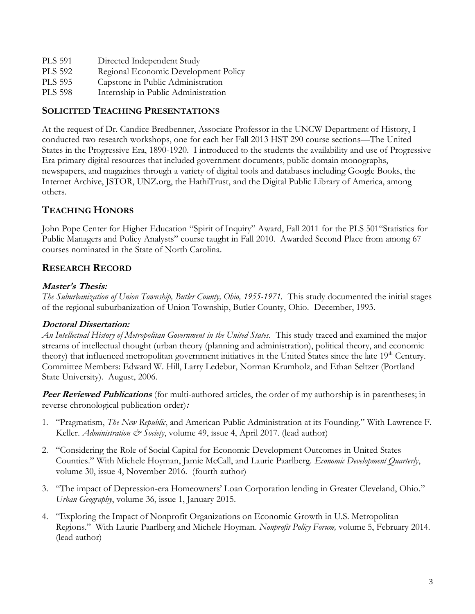| <b>PLS 591</b> | Directed Independent Study           |
|----------------|--------------------------------------|
| <b>PLS 592</b> | Regional Economic Development Policy |
| <b>PLS 595</b> | Capstone in Public Administration    |
| <b>PLS 598</b> | Internship in Public Administration  |

# **SOLICITED TEACHING PRESENTATIONS**

At the request of Dr. Candice Bredbenner, Associate Professor in the UNCW Department of History, I conducted two research workshops, one for each her Fall 2013 HST 290 course sections—The United States in the Progressive Era, 1890-1920. I introduced to the students the availability and use of Progressive Era primary digital resources that included government documents, public domain monographs, newspapers, and magazines through a variety of digital tools and databases including Google Books, the Internet Archive, JSTOR, UNZ.org, the HathiTrust, and the Digital Public Library of America, among others.

## **TEACHING HONORS**

John Pope Center for Higher Education "Spirit of Inquiry" Award, Fall 2011 for the PLS 501"Statistics for Public Managers and Policy Analysts" course taught in Fall 2010. Awarded Second Place from among 67 courses nominated in the State of North Carolina.

## **RESEARCH RECORD**

### **Master's Thesis:**

*The Suburbanization of Union Township, Butler County, Ohio, 1955-1971.* This study documented the initial stages of the regional suburbanization of Union Township, Butler County, Ohio. December, 1993.

## **Doctoral Dissertation:**

*An Intellectual History of Metropolitan Government in the United States.* This study traced and examined the major streams of intellectual thought (urban theory (planning and administration), political theory, and economic theory) that influenced metropolitan government initiatives in the United States since the late 19<sup>th</sup> Century. Committee Members: Edward W. Hill, Larry Ledebur, Norman Krumholz, and Ethan Seltzer (Portland State University). August, 2006.

**Peer Reviewed Publications** (for multi-authored articles, the order of my authorship is in parentheses; in reverse chronological publication order)**:**

- 1. "Pragmatism, *The New Republic*, and American Public Administration at its Founding." With Lawrence F. Keller. *Administration & Society*, volume 49, issue 4, April 2017. (lead author)
- 2. "Considering the Role of Social Capital for Economic Development Outcomes in United States Counties." With Michele Hoyman, Jamie McCall, and Laurie Paarlberg. *Economic Development Quarterly*, volume 30, issue 4, November 2016. (fourth author)
- 3. "The impact of Depression-era Homeowners' Loan Corporation lending in Greater Cleveland, Ohio." *Urban Geography*, volume 36, issue 1, January 2015.
- 4. "Exploring the Impact of Nonprofit Organizations on Economic Growth in U.S. Metropolitan Regions." With Laurie Paarlberg and Michele Hoyman. *Nonprofit Policy Forum,* volume 5, February 2014. (lead author)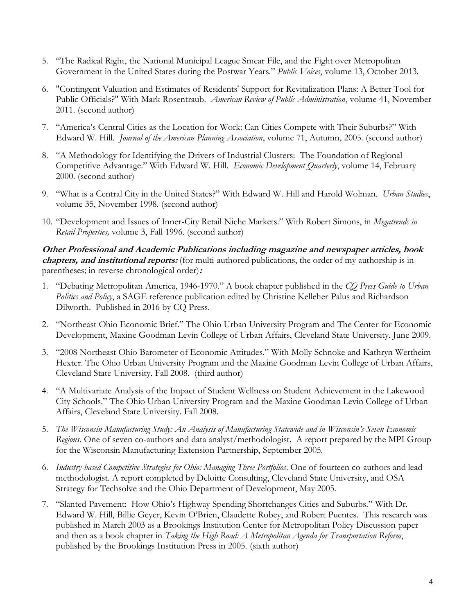- 5. "The Radical Right, the National Municipal League Smear File, and the Fight over Metropolitan Government in the United States during the Postwar Years." *Public Voices*, volume 13, October 2013.
- 6. "Contingent Valuation and Estimates of Residents' Support for Revitalization Plans: A Better Tool for Public Officials?" With Mark Rosentraub. *American Review of Public Administration*, volume 41, November 2011. (second author)
- 7. "America's Central Cities as the Location for Work: Can Cities Compete with Their Suburbs?" With Edward W. Hill. *Journal of the American Planning Association*, volume 71, Autumn, 2005. (second author)
- 8. "A Methodology for Identifying the Drivers of Industrial Clusters: The Foundation of Regional Competitive Advantage." With Edward W. Hill. *Economic Development Quarterly*, volume 14, February 2000. (second author)
- 9. "What is a Central City in the United States?" With Edward W. Hill and Harold Wolman. *Urban Studies*, volume 35, November 1998. (second author)
- 10. "Development and Issues of Inner-City Retail Niche Markets." With Robert Simons, in *Megatrends in Retail Properties,* volume 3, Fall 1996. (second author)

### **Other Professional and Academic Publications including magazine and newspaper articles, book chapters, and institutional reports:** (for multi-authored publications, the order of my authorship is in parentheses; in reverse chronological order)**:**

- 1. "Debating Metropolitan America, 1946-1970." A book chapter published in the *CQ Press Guide to Urban Politics and Policy*, a SAGE reference publication edited by Christine Kelleher Palus and Richardson Dilworth. Published in 2016 by CQ Press.
- 2. "Northeast Ohio Economic Brief." The Ohio Urban University Program and The Center for Economic Development, Maxine Goodman Levin College of Urban Affairs, Cleveland State University. June 2009.
- 3. "2008 Northeast Ohio Barometer of Economic Attitudes." With Molly Schnoke and Kathryn Wertheim Hexter. The Ohio Urban University Program and the Maxine Goodman Levin College of Urban Affairs, Cleveland State University. Fall 2008. (third author)
- 4. "A Multivariate Analysis of the Impact of Student Wellness on Student Achievement in the Lakewood City Schools." The Ohio Urban University Program and the Maxine Goodman Levin College of Urban Affairs, Cleveland State University. Fall 2008.
- 5. *The Wisconsin Manufacturing Study: An Analysis of Manufacturing Statewide and in Wisconsin's Seven Economic Regions.* One of seven co-authors and data analyst/methodologist. A report prepared by the MPI Group for the Wisconsin Manufacturing Extension Partnership, September 2005.
- 6. *Industry-based Competitive Strategies for Ohio: Managing Three Portfolios*. One of fourteen co-authors and lead methodologist. A report completed by Deloitte Consulting, Cleveland State University, and OSA Strategy for Techsolve and the Ohio Department of Development, May 2005.
- 7. "Slanted Pavement: How Ohio's Highway Spending Shortchanges Cities and Suburbs." With Dr. Edward W. Hill, Billie Geyer, Kevin O'Brien, Claudette Robey, and Robert Puentes*.* This research was published in March 2003 as a Brookings Institution Center for Metropolitan Policy Discussion paper and then as a book chapter in *Taking the High Road: A Metropolitan Agenda for Transportation Reform*, published by the Brookings Institution Press in 2005. (sixth author)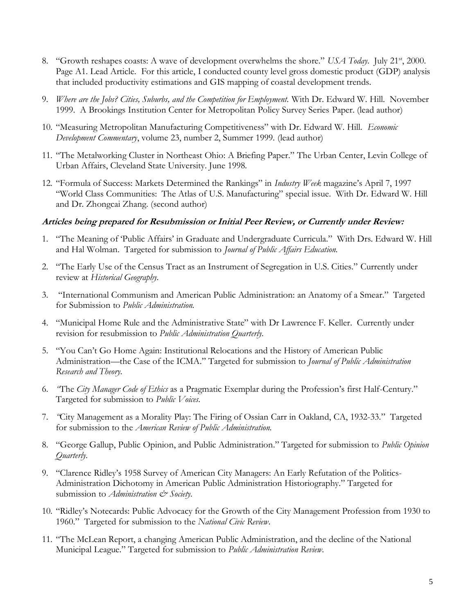- 8. "Growth reshapes coasts: A wave of development overwhelms the shore." *USA Today*. July 21<sup>st</sup>, 2000. Page A1. Lead Article. For this article, I conducted county level gross domestic product (GDP) analysis that included productivity estimations and GIS mapping of coastal development trends.
- 9. *Where are the Jobs? Cities, Suburbs, and the Competition for Employment.* With Dr. Edward W. Hill. November 1999. A Brookings Institution Center for Metropolitan Policy Survey Series Paper. (lead author)
- 10. "Measuring Metropolitan Manufacturing Competitiveness" with Dr. Edward W. Hill. *Economic Development Commentary*, volume 23, number 2, Summer 1999. (lead author)
- 11. "The Metalworking Cluster in Northeast Ohio: A Briefing Paper." The Urban Center, Levin College of Urban Affairs, Cleveland State University. June 1998.
- 12. "Formula of Success: Markets Determined the Rankings" in *Industry Week* magazine's April 7, 1997 "World Class Communities: The Atlas of U.S. Manufacturing" special issue. With Dr. Edward W. Hill and Dr. Zhongcai Zhang. (second author)

#### **Articles being prepared for Resubmission or Initial Peer Review, or Currently under Review:**

- 1. "The Meaning of 'Public Affairs' in Graduate and Undergraduate Curricula." With Drs. Edward W. Hill and Hal Wolman. Targeted for submission to *Journal of Public Affairs Education.*
- 2. "The Early Use of the Census Tract as an Instrument of Segregation in U.S. Cities." Currently under review at *Historical Geography.*
- 3. "International Communism and American Public Administration: an Anatomy of a Smear." Targeted for Submission to *Public Administration.*
- 4. "Municipal Home Rule and the Administrative State" with Dr Lawrence F. Keller. Currently under revision for resubmission to *Public Administration Quarterly.*
- 5. "You Can't Go Home Again: Institutional Relocations and the History of American Public Administration—the Case of the ICMA." Targeted for submission to *Journal of Public Administration Research and Theory.*
- 6. *"*The *City Manager Code of Ethics* as a Pragmatic Exemplar during the Profession's first Half-Century." Targeted for submission to *Public Voices.*
- 7. *"*City Management as a Morality Play: The Firing of Ossian Carr in Oakland, CA, 1932-33." Targeted for submission to the *American Review of Public Administration.*
- 8. "George Gallup, Public Opinion, and Public Administration." Targeted for submission to *Public Opinion Quarterly.*
- 9. "Clarence Ridley's 1958 Survey of American City Managers: An Early Refutation of the Politics-Administration Dichotomy in American Public Administration Historiography." Targeted for submission to *Administration*  $\mathcal{Q}$  Society.
- 10. "Ridley's Notecards: Public Advocacy for the Growth of the City Management Profession from 1930 to 1960." Targeted for submission to the *National Civic Review*.
- 11. "The McLean Report, a changing American Public Administration, and the decline of the National Municipal League." Targeted for submission to *Public Administration Review.*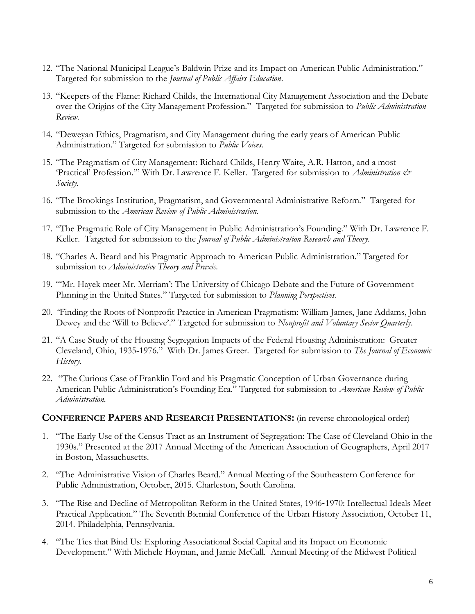- 12. "The National Municipal League's Baldwin Prize and its Impact on American Public Administration." Targeted for submission to the *Journal of Public Affairs Education*.
- 13. "Keepers of the Flame: Richard Childs, the International City Management Association and the Debate over the Origins of the City Management Profession." Targeted for submission to *Public Administration Review.*
- 14. "Deweyan Ethics, Pragmatism, and City Management during the early years of American Public Administration." Targeted for submission to *Public Voices.*
- 15. "The Pragmatism of City Management: Richard Childs, Henry Waite, A.R. Hatton, and a most 'Practical' Profession.'" With Dr. Lawrence F. Keller. Targeted for submission to *Administration & Society.*
- 16. "The Brookings Institution, Pragmatism, and Governmental Administrative Reform." Targeted for submission to the *American Review of Public Administration.*
- 17. "The Pragmatic Role of City Management in Public Administration's Founding." With Dr. Lawrence F. Keller. Targeted for submission to the *Journal of Public Administration Research and Theory.*
- 18. "Charles A. Beard and his Pragmatic Approach to American Public Administration." Targeted for submission to *Administrative Theory and Praxis.*
- 19. "'Mr. Hayek meet Mr. Merriam': The University of Chicago Debate and the Future of Government Planning in the United States." Targeted for submission to *Planning Perspectives*.
- 20. *"*Finding the Roots of Nonprofit Practice in American Pragmatism: William James, Jane Addams, John Dewey and the 'Will to Believe'." Targeted for submission to *Nonprofit and Voluntary Sector Quarterly*.
- 21. "A Case Study of the Housing Segregation Impacts of the Federal Housing Administration: Greater Cleveland, Ohio, 1935-1976." With Dr. James Greer. Targeted for submission to *The Journal of Economic History.*
- 22. "The Curious Case of Franklin Ford and his Pragmatic Conception of Urban Governance during American Public Administration's Founding Era." Targeted for submission to *American Review of Public Administration.*

#### **CONFERENCE PAPERS AND RESEARCH PRESENTATIONS:** (in reverse chronological order)

- 1. "The Early Use of the Census Tract as an Instrument of Segregation: The Case of Cleveland Ohio in the 1930s." Presented at the 2017 Annual Meeting of the American Association of Geographers, April 2017 in Boston, Massachusetts.
- 2. "The Administrative Vision of Charles Beard." Annual Meeting of the Southeastern Conference for Public Administration, October, 2015. Charleston, South Carolina.
- 3. "The Rise and Decline of Metropolitan Reform in the United States, 1946‐1970: Intellectual Ideals Meet Practical Application." The Seventh Biennial Conference of the Urban History Association, October 11, 2014. Philadelphia, Pennsylvania.
- 4. "The Ties that Bind Us: Exploring Associational Social Capital and its Impact on Economic Development." With Michele Hoyman, and Jamie McCall. Annual Meeting of the Midwest Political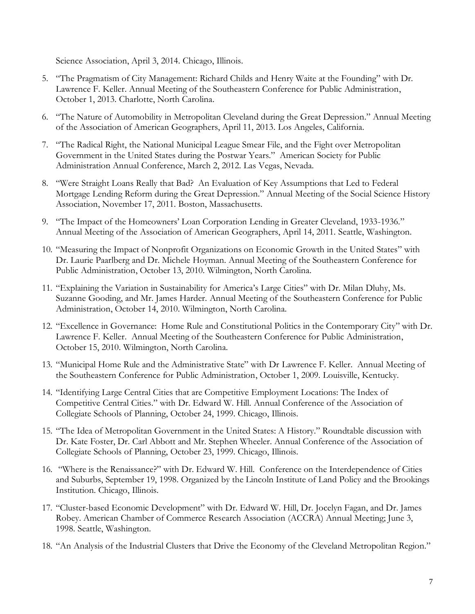Science Association, April 3, 2014. Chicago, Illinois.

- 5. "The Pragmatism of City Management: Richard Childs and Henry Waite at the Founding" with Dr. Lawrence F. Keller. Annual Meeting of the Southeastern Conference for Public Administration, October 1, 2013. Charlotte, North Carolina.
- 6. "The Nature of Automobility in Metropolitan Cleveland during the Great Depression." Annual Meeting of the Association of American Geographers, April 11, 2013. Los Angeles, California.
- 7. "The Radical Right, the National Municipal League Smear File, and the Fight over Metropolitan Government in the United States during the Postwar Years." American Society for Public Administration Annual Conference, March 2, 2012. Las Vegas, Nevada.
- 8. "Were Straight Loans Really that Bad? An Evaluation of Key Assumptions that Led to Federal Mortgage Lending Reform during the Great Depression." Annual Meeting of the Social Science History Association, November 17, 2011. Boston, Massachusetts.
- 9. "The Impact of the Homeowners' Loan Corporation Lending in Greater Cleveland, 1933-1936." Annual Meeting of the Association of American Geographers, April 14, 2011. Seattle, Washington.
- 10. "Measuring the Impact of Nonprofit Organizations on Economic Growth in the United States" with Dr. Laurie Paarlberg and Dr. Michele Hoyman. Annual Meeting of the Southeastern Conference for Public Administration, October 13, 2010. Wilmington, North Carolina.
- 11. "Explaining the Variation in Sustainability for America's Large Cities" with Dr. Milan Dluhy, Ms. Suzanne Gooding, and Mr. James Harder. Annual Meeting of the Southeastern Conference for Public Administration, October 14, 2010. Wilmington, North Carolina.
- 12. "Excellence in Governance: Home Rule and Constitutional Politics in the Contemporary City" with Dr. Lawrence F. Keller. Annual Meeting of the Southeastern Conference for Public Administration, October 15, 2010. Wilmington, North Carolina.
- 13. "Municipal Home Rule and the Administrative State" with Dr Lawrence F. Keller. Annual Meeting of the Southeastern Conference for Public Administration, October 1, 2009. Louisville, Kentucky.
- 14. "Identifying Large Central Cities that are Competitive Employment Locations: The Index of Competitive Central Cities." with Dr. Edward W. Hill. Annual Conference of the Association of Collegiate Schools of Planning, October 24, 1999. Chicago, Illinois.
- 15. "The Idea of Metropolitan Government in the United States: A History." Roundtable discussion with Dr. Kate Foster, Dr. Carl Abbott and Mr. Stephen Wheeler. Annual Conference of the Association of Collegiate Schools of Planning, October 23, 1999. Chicago, Illinois.
- 16. "Where is the Renaissance?" with Dr. Edward W. Hill. Conference on the Interdependence of Cities and Suburbs, September 19, 1998. Organized by the Lincoln Institute of Land Policy and the Brookings Institution. Chicago, Illinois.
- 17. "Cluster-based Economic Development" with Dr. Edward W. Hill, Dr. Jocelyn Fagan, and Dr. James Robey. American Chamber of Commerce Research Association (ACCRA) Annual Meeting; June 3, 1998. Seattle, Washington.
- 18. "An Analysis of the Industrial Clusters that Drive the Economy of the Cleveland Metropolitan Region."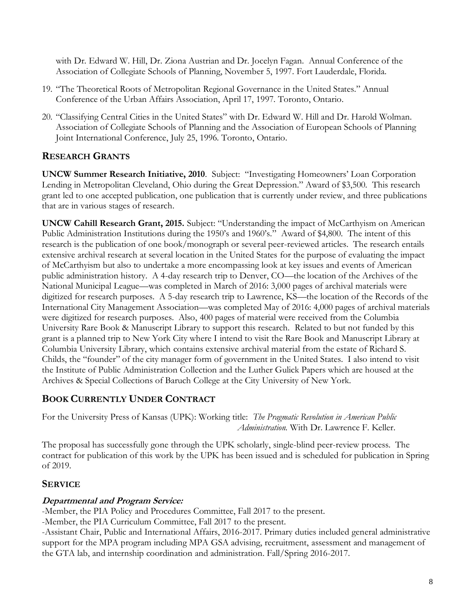with Dr. Edward W. Hill, Dr. Ziona Austrian and Dr. Jocelyn Fagan. Annual Conference of the Association of Collegiate Schools of Planning, November 5, 1997. Fort Lauderdale, Florida.

- 19. "The Theoretical Roots of Metropolitan Regional Governance in the United States." Annual Conference of the Urban Affairs Association, April 17, 1997. Toronto, Ontario.
- 20. "Classifying Central Cities in the United States" with Dr. Edward W. Hill and Dr. Harold Wolman. Association of Collegiate Schools of Planning and the Association of European Schools of Planning Joint International Conference, July 25, 1996. Toronto, Ontario.

## **RESEARCH GRANTS**

**UNCW Summer Research Initiative, 2010**. Subject: "Investigating Homeowners' Loan Corporation Lending in Metropolitan Cleveland, Ohio during the Great Depression." Award of \$3,500. This research grant led to one accepted publication, one publication that is currently under review, and three publications that are in various stages of research.

**UNCW Cahill Research Grant, 2015.** Subject: "Understanding the impact of McCarthyism on American Public Administration Institutions during the 1950's and 1960's." Award of \$4,800. The intent of this research is the publication of one book/monograph or several peer-reviewed articles. The research entails extensive archival research at several location in the United States for the purpose of evaluating the impact of McCarthyism but also to undertake a more encompassing look at key issues and events of American public administration history. A 4-day research trip to Denver, CO—the location of the Archives of the National Municipal League—was completed in March of 2016: 3,000 pages of archival materials were digitized for research purposes. A 5-day research trip to Lawrence, KS—the location of the Records of the International City Management Association—was completed May of 2016: 4,000 pages of archival materials were digitized for research purposes. Also, 400 pages of material were received from the Columbia University Rare Book & Manuscript Library to support this research. Related to but not funded by this grant is a planned trip to New York City where I intend to visit the Rare Book and Manuscript Library at Columbia University Library, which contains extensive archival material from the estate of Richard S. Childs, the "founder" of the city manager form of government in the United States. I also intend to visit the Institute of Public Administration Collection and the Luther Gulick Papers which are housed at the Archives & Special Collections of Baruch College at the City University of New York.

## **BOOK CURRENTLY UNDER CONTRACT**

For the University Press of Kansas (UPK): Working title: *The Pragmatic Revolution in American Public Administration.* With Dr. Lawrence F. Keller.

The proposal has successfully gone through the UPK scholarly, single-blind peer-review process. The contract for publication of this work by the UPK has been issued and is scheduled for publication in Spring of 2019.

## **SERVICE**

## **Departmental and Program Service:**

-Member, the PIA Policy and Procedures Committee, Fall 2017 to the present.

-Member, the PIA Curriculum Committee, Fall 2017 to the present.

-Assistant Chair, Public and International Affairs, 2016-2017. Primary duties included general administrative support for the MPA program including MPA GSA advising, recruitment, assessment and management of the GTA lab, and internship coordination and administration. Fall/Spring 2016-2017.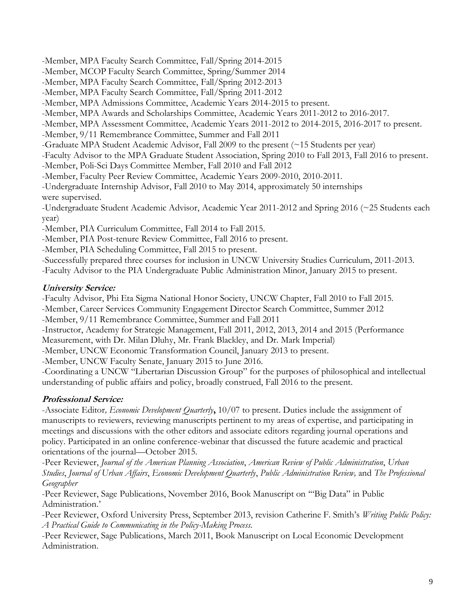-Member, MPA Faculty Search Committee, Fall/Spring 2014-2015

-Member, MCOP Faculty Search Committee, Spring/Summer 2014

-Member, MPA Faculty Search Committee, Fall/Spring 2012-2013

-Member, MPA Faculty Search Committee, Fall/Spring 2011-2012

-Member, MPA Admissions Committee, Academic Years 2014-2015 to present.

-Member, MPA Awards and Scholarships Committee, Academic Years 2011-2012 to 2016-2017.

-Member, MPA Assessment Committee, Academic Years 2011-2012 to 2014-2015, 2016-2017 to present.

-Member, 9/11 Remembrance Committee, Summer and Fall 2011

-Graduate MPA Student Academic Advisor, Fall 2009 to the present (~15 Students per year)

-Faculty Advisor to the MPA Graduate Student Association, Spring 2010 to Fall 2013, Fall 2016 to present.

-Member, Poli-Sci Days Committee Member, Fall 2010 and Fall 2012

-Member, Faculty Peer Review Committee, Academic Years 2009-2010, 2010-2011.

-Undergraduate Internship Advisor, Fall 2010 to May 2014, approximately 50 internships were supervised.

-Undergraduate Student Academic Advisor, Academic Year 2011-2012 and Spring 2016 (~25 Students each year)

-Member, PIA Curriculum Committee, Fall 2014 to Fall 2015.

-Member, PIA Post-tenure Review Committee, Fall 2016 to present.

-Member, PIA Scheduling Committee, Fall 2015 to present.

-Successfully prepared three courses for inclusion in UNCW University Studies Curriculum, 2011-2013.

-Faculty Advisor to the PIA Undergraduate Public Administration Minor, January 2015 to present.

## **University Service:**

-Faculty Advisor, Phi Eta Sigma National Honor Society, UNCW Chapter, Fall 2010 to Fall 2015.

-Member, Career Services Community Engagement Director Search Committee, Summer 2012 -Member, 9/11 Remembrance Committee, Summer and Fall 2011

-Instructor, Academy for Strategic Management, Fall 2011, 2012, 2013, 2014 and 2015 (Performance Measurement, with Dr. Milan Dluhy, Mr. Frank Blackley, and Dr. Mark Imperial)

-Member, UNCW Economic Transformation Council, January 2013 to present.

-Member, UNCW Faculty Senate, January 2015 to June 2016.

-Coordinating a UNCW "Libertarian Discussion Group" for the purposes of philosophical and intellectual understanding of public affairs and policy, broadly construed, Fall 2016 to the present.

## **Professional Service:**

-Associate Editor*, Economic Development Quarterly***,** 10/07 to present. Duties include the assignment of manuscripts to reviewers, reviewing manuscripts pertinent to my areas of expertise, and participating in meetings and discussions with the other editors and associate editors regarding journal operations and policy. Participated in an online conference-webinar that discussed the future academic and practical orientations of the journal—October 2015.

-Peer Reviewer, *Journal of the American Planning Association*, *American Review of Public Administration*, *Urban Studies*, *Journal of Urban Affairs*, *Economic Development Quarterly*, *Public Administration Review,* and *The Professional Geographer*

-Peer Reviewer, Sage Publications, November 2016, Book Manuscript on '"Big Data" in Public Administration.'

-Peer Reviewer, Oxford University Press, September 2013, revision Catherine F. Smith's *Writing Public Policy: A Practical Guide to Communicating in the Policy-Making Process.*

-Peer Reviewer, Sage Publications, March 2011, Book Manuscript on Local Economic Development Administration.